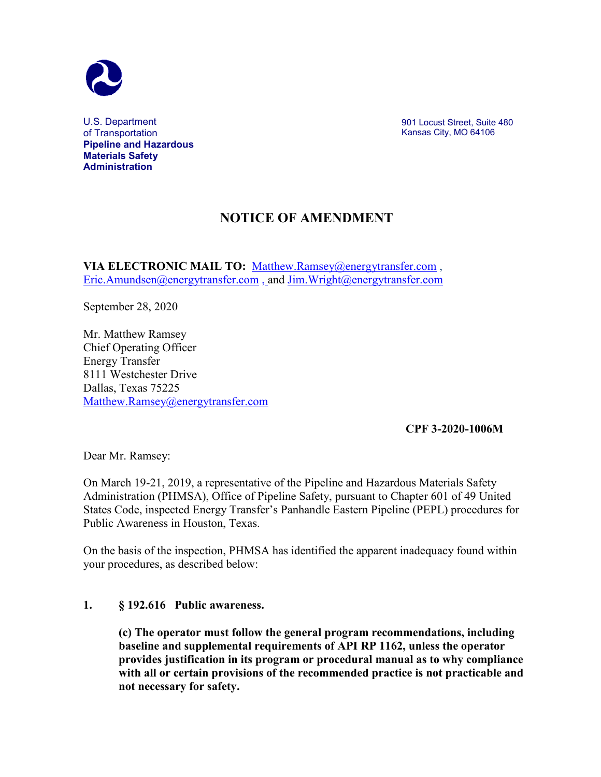

U.S. Department of Transportation **Pipeline and Hazardous Materials Safety Administration**

901 Locust Street, Suite 480 Kansas City, MO 64106

## **NOTICE OF AMENDMENT**

**VIA ELECTRONIC MAIL TO:** [Matthew.Ramsey@energytransfer.com](mailto:Matthew.Ramsey@energytransfer.com) , [Eric.Amundsen@energytransfer.com](mailto:Eric.Amundsen@energytransfer.com) , and [Jim.Wright@energytransfer.com](mailto:Jim.Wright@energytransfer.com)

September 28, 2020

Mr. Matthew Ramsey Chief Operating Officer Energy Transfer 8111 Westchester Drive Dallas, Texas 75225 [Matthew.Ramsey@energytransfer.com](mailto:Matthew.Ramsey@energytransfer.com)

## **CPF 3-2020-1006M**

Dear Mr. Ramsey:

On March 19-21, 2019, a representative of the Pipeline and Hazardous Materials Safety Administration (PHMSA), Office of Pipeline Safety, pursuant to Chapter 601 of 49 United States Code, inspected Energy Transfer's Panhandle Eastern Pipeline (PEPL) procedures for Public Awareness in Houston, Texas.

On the basis of the inspection, PHMSA has identified the apparent inadequacy found within your procedures, as described below:

## **1. § 192.616 Public awareness.**

**(c) The operator must follow the general program recommendations, including baseline and supplemental requirements of API RP 1162, unless the operator provides justification in its program or procedural manual as to why compliance with all or certain provisions of the recommended practice is not practicable and not necessary for safety.**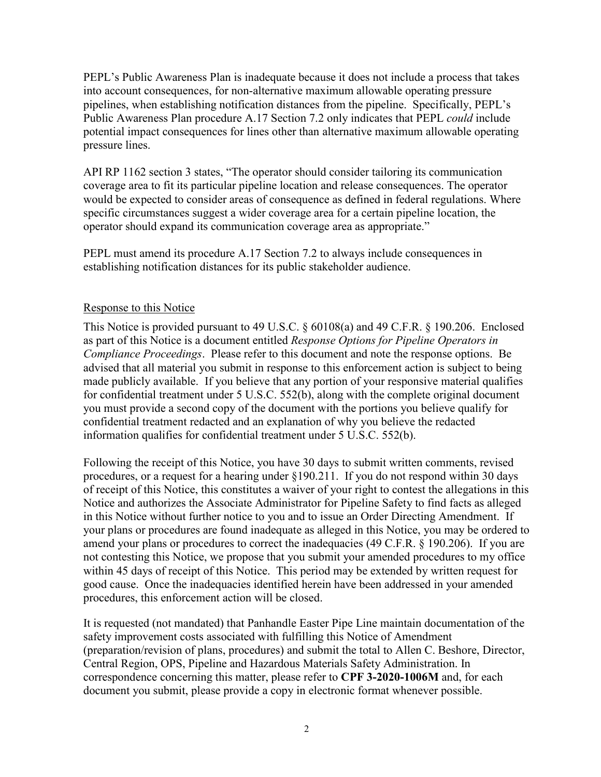PEPL's Public Awareness Plan is inadequate because it does not include a process that takes into account consequences, for non-alternative maximum allowable operating pressure pipelines, when establishing notification distances from the pipeline. Specifically, PEPL's Public Awareness Plan procedure A.17 Section 7.2 only indicates that PEPL *could* include potential impact consequences for lines other than alternative maximum allowable operating pressure lines.

API RP 1162 section 3 states, "The operator should consider tailoring its communication coverage area to fit its particular pipeline location and release consequences. The operator would be expected to consider areas of consequence as defined in federal regulations. Where specific circumstances suggest a wider coverage area for a certain pipeline location, the operator should expand its communication coverage area as appropriate."

PEPL must amend its procedure A.17 Section 7.2 to always include consequences in establishing notification distances for its public stakeholder audience.

## Response to this Notice

This Notice is provided pursuant to 49 U.S.C. § 60108(a) and 49 C.F.R. § 190.206. Enclosed as part of this Notice is a document entitled *Response Options for Pipeline Operators in Compliance Proceedings*. Please refer to this document and note the response options. Be advised that all material you submit in response to this enforcement action is subject to being made publicly available. If you believe that any portion of your responsive material qualifies for confidential treatment under 5 U.S.C. 552(b), along with the complete original document you must provide a second copy of the document with the portions you believe qualify for confidential treatment redacted and an explanation of why you believe the redacted information qualifies for confidential treatment under 5 U.S.C. 552(b).

Following the receipt of this Notice, you have 30 days to submit written comments, revised procedures, or a request for a hearing under §190.211. If you do not respond within 30 days of receipt of this Notice, this constitutes a waiver of your right to contest the allegations in this Notice and authorizes the Associate Administrator for Pipeline Safety to find facts as alleged in this Notice without further notice to you and to issue an Order Directing Amendment. If your plans or procedures are found inadequate as alleged in this Notice, you may be ordered to amend your plans or procedures to correct the inadequacies (49 C.F.R. § 190.206). If you are not contesting this Notice, we propose that you submit your amended procedures to my office within 45 days of receipt of this Notice. This period may be extended by written request for good cause. Once the inadequacies identified herein have been addressed in your amended procedures, this enforcement action will be closed.

It is requested (not mandated) that Panhandle Easter Pipe Line maintain documentation of the safety improvement costs associated with fulfilling this Notice of Amendment (preparation/revision of plans, procedures) and submit the total to Allen C. Beshore, Director, Central Region, OPS, Pipeline and Hazardous Materials Safety Administration. In correspondence concerning this matter, please refer to **CPF 3-2020-1006M** and, for each document you submit, please provide a copy in electronic format whenever possible.